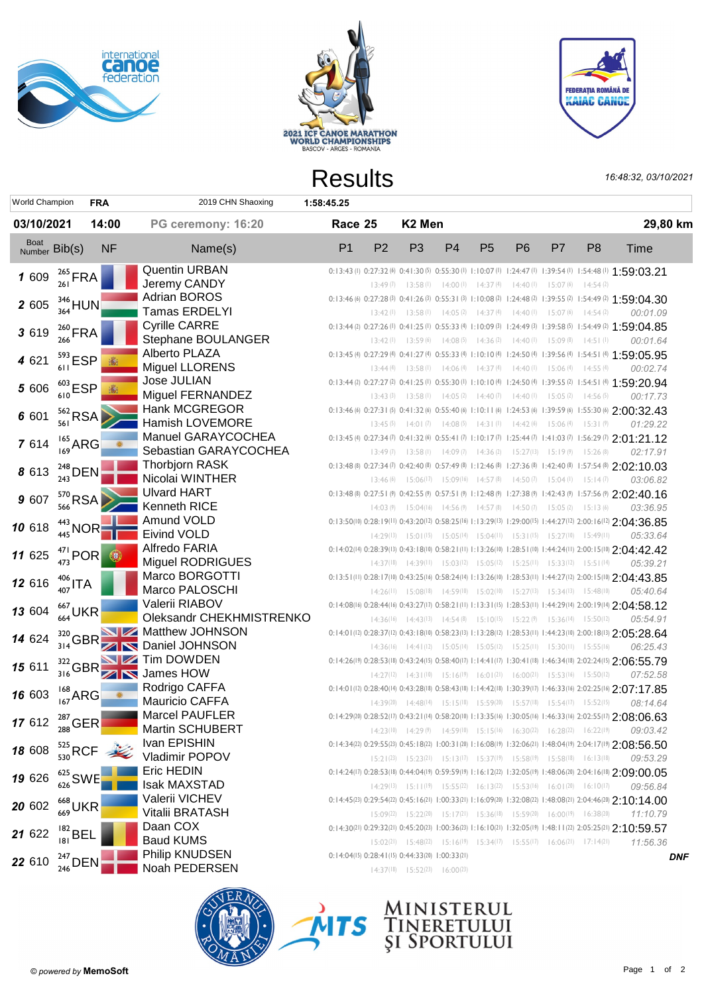





|                                  |                                                |            |                                                                             | <b>Results</b>                                  |                |                                              |                |                |                |                                                                                                          |                | 16:48:32, 03/10/2021                                                                                                   |            |
|----------------------------------|------------------------------------------------|------------|-----------------------------------------------------------------------------|-------------------------------------------------|----------------|----------------------------------------------|----------------|----------------|----------------|----------------------------------------------------------------------------------------------------------|----------------|------------------------------------------------------------------------------------------------------------------------|------------|
| <b>World Champion</b>            |                                                | <b>FRA</b> | 2019 CHN Shaoxing                                                           | 1:58:45.25                                      |                |                                              |                |                |                |                                                                                                          |                |                                                                                                                        |            |
| 03/10/2021                       |                                                | 14:00      | PG ceremony: 16:20                                                          | Race 25                                         |                | K <sub>2</sub> Men                           |                |                |                |                                                                                                          |                |                                                                                                                        | 29,80 km   |
| Boat<br>Number Bib(s)            |                                                | <b>NF</b>  | Name(s)                                                                     | P <sub>1</sub>                                  | P <sub>2</sub> | P <sub>3</sub>                               | P <sub>4</sub> | P <sub>5</sub> | P <sub>6</sub> | P7                                                                                                       | P <sub>8</sub> | Time                                                                                                                   |            |
| 1 609                            | $^{265}_{261}$ FRA                             |            | Quentin URBAN                                                               |                                                 |                |                                              |                |                |                |                                                                                                          |                | 0:13:43 (l) 0:27:32 (b) 0:41:30 (b) 0:55:30 (l) 1:10:07 (l) 1:24:47 (l) 1:39:54 (l) 1:54:48 (l) 1:59:03.21             |            |
|                                  |                                                |            | Jeremy CANDY                                                                |                                                 |                |                                              |                |                |                | 13:49 (7) 13:58 (1) 14:00 (1) 14:37 (4) 14:40 (1) 15:07 (6) 14:54 (2)                                    |                |                                                                                                                        |            |
| 2 605                            | $\frac{346}{364}$ HUN                          |            | <b>Adrian BOROS</b>                                                         |                                                 |                |                                              |                |                |                |                                                                                                          |                | 0:13:46 (6) 0:27:28 (3) 0:41:26 (3) 0:55:31 (3) 1:10:08 (2) 1:24:48 (2) 1:39:55 (2) 1:54:49 (2) 1:59:04.30             |            |
|                                  |                                                |            | Tamas ERDELYI                                                               |                                                 |                |                                              |                |                |                | 13:42 (1) 13:58 (1) 14:05 (2) 14:37 (4) 14:40 (1) 15:07 (6) 14:54 (2)                                    |                | 00:01.09                                                                                                               |            |
| 3 6 1 9                          | $^{260}_{266}$ FRA                             |            | <b>Cyrille CARRE</b>                                                        |                                                 |                |                                              |                |                |                |                                                                                                          |                | 0:13:44 (2) 0:27:26 (1) 0:41:25 (1) 0:55:33 (4) 1:10:09 (3) 1:24:49 (3) 1:39:58 (5) 1:54:49 (2) 1:59:04.85             |            |
|                                  |                                                |            | Stephane BOULANGER                                                          |                                                 |                |                                              |                |                |                | $13:42(1)$ $13:59(6)$ $14:08(5)$ $14:36(2)$ $14:40(1)$ $15:09(8)$ $14:51(1)$                             |                | 00:01.64                                                                                                               |            |
| 4 6 21                           | $^{593}_{611}$ ESP                             |            | Alberto PLAZA                                                               |                                                 |                |                                              |                |                |                |                                                                                                          |                | 0:13:45 (4) 0:27:29 (4) 0:41:27 (4) 0:55:33 (4) 1:10:10 (4) 1:24:50 (4) 1:39:56 (4) 1:54:51 (4) 1:59:05.95             |            |
|                                  |                                                |            | <b>Miguel LLORENS</b>                                                       |                                                 |                |                                              |                |                |                | 13:44 (4) 13:58 (1) 14:06 (4) 14:37 (4) 14:40 (1) 15:06 (4) 14:55 (4)                                    |                | 00:02.74                                                                                                               |            |
| 5 606                            | $^{603}_{610}$ ESP                             |            | <b>Jose JULIAN</b>                                                          |                                                 |                |                                              |                |                |                |                                                                                                          |                | 0:13:44 (2) 0:27:27 (2) 0:41:25 (1) 0:55:30 (1) 1:10:10 (4) 1:24:50 (4) 1:39:55 (2) 1:54:51 (4) 1:59:20.94             |            |
|                                  |                                                |            | Miguel FERNANDEZ                                                            |                                                 |                |                                              |                |                |                | $13:43(3)$ $13:58(1)$ $14:05(2)$ $14:40(7)$ $14:40(1)$ $15:05(2)$                                        | 14:56(5)       | 00:17.73                                                                                                               |            |
| 6 601                            | $562$ <sub>561</sub> RSA                       |            | Hank MCGREGOR                                                               |                                                 |                |                                              |                |                |                |                                                                                                          |                | 0:13:46 (6) 0:27:31 (5) 0:41:32 (6) 0:55:40 (6) 1:10:11 (6) 1:24:53 (6) 1:39:59 (6) 1:55:30 (6) 2:00:32.43             |            |
|                                  |                                                |            | <b>Hamish LOVEMORE</b>                                                      |                                                 |                |                                              |                |                |                | 13:45 (5) 14:01 (7) 14:08 (5) 14:31 (1) 14:42 (6) 15:06 (4)                                              | 15:3(9)        | 01:29.22                                                                                                               |            |
| 7 614                            | $^{165}_{169}$ ARG                             |            | Manuel GARAYCOCHEA<br>Sebastian GARAYCOCHEA                                 |                                                 |                |                                              |                |                |                |                                                                                                          |                | 0:13:45 (4) 0:27:34 (7) 0:41:32 (6) 0:55:41 (7) 1:10:17 (7) 1:25:44 (7) 1:41:03 (7) 1:56:29 (7) 2:01:21.12             |            |
|                                  |                                                |            |                                                                             |                                                 |                |                                              |                |                |                | $13:49(7)$ $13:58(1)$ $14:09(7)$ $14:36(2)$ $15:27(13)$ $15:19(9)$ $15:26(8)$                            |                | 02:17.91                                                                                                               |            |
| 8 6 1 3                          | $\frac{^{248}}{^{243}}$ DEN                    |            | <b>Thorbjorn RASK</b>                                                       |                                                 |                |                                              |                |                |                |                                                                                                          |                | 0:13:48 (8) 0:27:34 (7) 0:42:40 (8) 0:57:49 (8) 1:12:46 (8) 1:27:36 (8) 1:42:40 (8) 1:57:54 (8) 2:02:10.03             |            |
|                                  |                                                |            | Nicolai WINTHER                                                             |                                                 |                |                                              |                |                |                | 13:46 (6) 15:06(17) 15:09(16) 14:57 (8) 14:50 (7) 15:04 (1) 15:14 (7)                                    |                | 03:06.82                                                                                                               |            |
| 9 607                            | $\frac{570}{566}$ RSA                          |            | Ulvard HART                                                                 |                                                 |                |                                              |                |                |                |                                                                                                          |                | 0:13:48 (8) 0:27:51 (9) 0:42:55 (9) 0:57:51 (9) 1:12:48 (9) 1:27:38 (9) 1:42:43 (9) 1:57:56 (9) 2:02:40.16             |            |
|                                  |                                                |            | Kenneth RICE<br>Amund VOLD                                                  |                                                 |                |                                              |                |                |                | 14:03 (9) 15:04(16) 14:56 (9) 14:57 (8) 14:50 (7) 15:05 (2) 15:13 (6)                                    |                | 03:36.95                                                                                                               |            |
| 10 618                           | $\frac{443}{445}NOR$                           |            | <b>Eivind VOLD</b>                                                          |                                                 |                |                                              |                |                |                |                                                                                                          |                | 0:13:50(10) 0:28:19(11) 0:43:20(12) 0:58:25(16) 1:13:29(13) 1:29:00(15) 1:44:27(12) 2:00:16(12) 2:04:36.85             |            |
|                                  |                                                |            |                                                                             |                                                 |                |                                              |                |                |                | $14:29^{(13)}$ $15:01^{(15)}$ $15:05^{(14)}$ $15:04^{(11)}$ $15:31^{(15)}$ $15:27^{(10)}$ $15:49^{(11)}$ |                | 05:33.64                                                                                                               |            |
| <b>11</b> 625 $^{471}_{473}$ POR |                                                | (B)        | Alfredo FARIA<br><b>Miguel RODRIGUES</b>                                    |                                                 |                |                                              |                |                |                |                                                                                                          |                | 0:14:02(14) 0:28:39(13) 0:43:18(10) 0:58:21(11) 1:13:26(10) 1:28:51(10) 1:44:24(11) 2:00:15(10) 2:04:42.42             |            |
|                                  |                                                |            | Marco BORGOTTI                                                              |                                                 |                |                                              |                |                |                | 14:37(18) 14:39(11) 15:03(12) 15:05(12) 15:25(11) 15:33(12) 15:51(14)                                    |                | 05:39.21                                                                                                               |            |
| 12 616                           | $\frac{406}{407}$ ITA                          |            | Marco PALOSCHI                                                              |                                                 |                |                                              |                |                |                |                                                                                                          |                | 0:13:51(11) 0:28:17(10) 0:43:25(16) 0:58:24(14) 1:13:26(10) 1:28:53(11) 1:44:27(12) 2:00:15(10) 2:04:43.85             |            |
|                                  |                                                |            | Valerii RIABOV                                                              |                                                 |                |                                              |                |                |                | $14:26(11)$ $15:08(18)$ $14:59(10)$ $15:02(10)$ $15:27(13)$ $15:34(13)$ $15:48(10)$                      |                | 05:40.64                                                                                                               |            |
| 13 604                           | $^{667}_{664}$ UKR                             |            | Oleksandr CHEKHMISTRENKO                                                    |                                                 |                |                                              |                |                |                |                                                                                                          |                | 0:14:08(16) 0:28:44(16) 0:43:27(17) 0:58:21(11) 1:13:31(15) 1:28:53(11) 1:44:29(14) 2:00:19(14) 2:04:58.12             |            |
|                                  |                                                |            |                                                                             |                                                 |                |                                              |                |                |                | $14:36(16)$ $14:43(13)$ $14:54(8)$ $15:10(15)$ $15:22(9)$ $15:36(14)$ $15:50(12)$                        |                | 05:54.91                                                                                                               |            |
| 14 624                           |                                                |            | $\frac{320}{314} \text{GBR}$ Matthew JOHNSON<br><b>ZIN</b> Daniel JOHNSON   |                                                 |                |                                              |                |                |                |                                                                                                          |                | 0:14:01(12) 0:28:37(12) 0:43:18(10) 0:58:23(13) 1:13:28(12) 1:28:53(11) 1:44:23(10) 2:00:18(13) 2:05:28.64             |            |
|                                  |                                                |            |                                                                             |                                                 |                |                                              |                |                |                | $14:36(16)$ $14:41(12)$ $15:05(14)$ $15:05(12)$ $15:25(11)$ $15:30(11)$ $15:55(16)$                      |                | 06:25.43                                                                                                               |            |
| 15 611                           |                                                |            | $\frac{322}{316}$ GBR $\frac{1}{\sqrt{2}}$ Tim DOWDEN<br><b>N</b> James HOW |                                                 |                |                                              |                |                |                |                                                                                                          |                | 0:14:26(19) 0:28:53(18) 0:43:24(15) 0:58:40(17) 1:14:41(17) 1:30:41(18) 1:46:34(18) 2:02:24(15) 2:06:55.79<br>07:52.58 |            |
|                                  |                                                |            | Rodrigo CAFFA                                                               |                                                 |                |                                              |                |                |                | $14:27^{(12)}$ $14:31^{(10)}$ $15:16^{(19)}$ $16:01^{(21)}$ $16:00^{(21)}$ $15:53^{(16)}$ $15:50^{(12)}$ |                |                                                                                                                        |            |
| <b>16</b> 603 $^{168}_{167}$ ARG |                                                |            | Mauricio CAFFA                                                              |                                                 |                |                                              |                |                |                | $14:39(20)$ $14:48(14)$ $15:15(18)$ $15:59(20)$ $15:57(18)$ $15:54(17)$ $15:52(15)$                      |                | 0:14:01(12) 0:28:40(14) 0:43:28(18) 0:58:43(18) 1:14:42(18) 1:30:39(17) 1:46:33(16) 2:02:25(16) 2:07:17.85<br>08:14.64 |            |
|                                  |                                                |            | <b>Marcel PAUFLER</b>                                                       |                                                 |                |                                              |                |                |                |                                                                                                          |                | 0:14:29(20) 0:28:52(17) 0:43:21(14) 0:58:20(10) 1:13:35(16) 1:30:05(16) 1:46:33(16) 2:02:55(17) 2:08:06.63             |            |
| 17 612 $\frac{287}{288}GER$      |                                                |            | <b>Martin SCHUBERT</b>                                                      |                                                 |                |                                              |                |                |                | $14:23(10)$ $14:29(9)$ $14:59(10)$ $15:15(16)$ $16:30(22)$ $16:28(22)$ $16:22(19)$                       |                | 09:03.42                                                                                                               |            |
|                                  | 18 608 $\frac{525}{530}$ RCF $\frac{325}{530}$ |            | Ivan EPISHIN                                                                |                                                 |                |                                              |                |                |                |                                                                                                          |                | 0:14:34(22) 0:29:55(23) 0:45:18(22) 1:00:31(20) 1:16:08(19) 1:32:06(21) 1:48:04(19) 2:04:17(19) 2:08:56.50             |            |
|                                  |                                                |            | Vladimir POPOV                                                              |                                                 |                |                                              |                |                |                | [5:21(23) [5:23(21) [5:13(17) [5:37(19) [5:58(19) [5:58(18) [6:13(18)]                                   |                | 09:53.29                                                                                                               |            |
|                                  |                                                |            | Eric HEDIN                                                                  |                                                 |                |                                              |                |                |                |                                                                                                          |                | 0:14:24(17) 0:28:53(18) 0:44:04(19) 0:59:59(19) 1:16:12(22) 1:32:05(19) 1:48:06(20) 2:04:16(18) 2:09:00.05             |            |
| <b>19</b> 626 $^{625}_{626}$ SWE |                                                |            | Isak MAXSTAD                                                                |                                                 |                |                                              |                |                |                | $14:29^{(13)}$ $15:11^{(19)}$ $15:55^{(22)}$ $16:13^{(22)}$ $15:53^{(16)}$ $16:01^{(20)}$ $16:10^{(17)}$ |                | 09:56.84                                                                                                               |            |
|                                  |                                                |            | Valerii VICHEV                                                              |                                                 |                |                                              |                |                |                |                                                                                                          |                | 0:14:45(23) 0:29:54(22) 0:45:16(21) 1:00:33(21) 1:16:09(20) 1:32:08(22) 1:48:08(21) 2:04:46(20) 2:10:14.00             |            |
| 20 602 $^{668}_{669}$ UKR        |                                                |            | Vitalii BRATASH                                                             |                                                 |                |                                              |                |                |                | 15:09(22) 15:22(20) 15:17(21) 15:36(18) 15:59(20) 16:00(19) 16:38(20)                                    |                | 11:10.79                                                                                                               |            |
|                                  |                                                |            | Daan COX                                                                    |                                                 |                |                                              |                |                |                |                                                                                                          |                | 0:14:30(21) 0:29:32(21) 0:45:20(23) 1:00:36(23) 1:16:10(21) 1:32:05(19) 1:48:11(22) 2:05:25(21) 2:10:59.57             |            |
| 21 622 $^{182}_{181}$ BEL        |                                                |            | <b>Baud KUMS</b>                                                            |                                                 |                |                                              |                |                |                | $15:02(21)$ $15:48(22)$ $15:16(19)$ $15:34(17)$ $15:55(17)$ $16:06(21)$ $17:14(21)$                      |                | 11:56.36                                                                                                               |            |
|                                  |                                                |            | Philip KNUDSEN                                                              | 0:14:04(15) 0:28:41(15) 0:44:33(20) 1:00:33(21) |                |                                              |                |                |                |                                                                                                          |                |                                                                                                                        | <b>DNF</b> |
| 22 610 $^{247}_{246}$ DEN        |                                                |            | Noah PEDERSEN                                                               |                                                 |                | $14:37^{(18)}$ $15:52^{(23)}$ $16:00^{(23)}$ |                |                |                |                                                                                                          |                |                                                                                                                        |            |
|                                  |                                                |            |                                                                             |                                                 |                |                                              |                |                |                |                                                                                                          |                |                                                                                                                        |            |

powered by **MemoSoft**<br> **Examples**<br> **Page 1 of 2**<br> **Page 1 of 2**<br>
Page 1 of 2